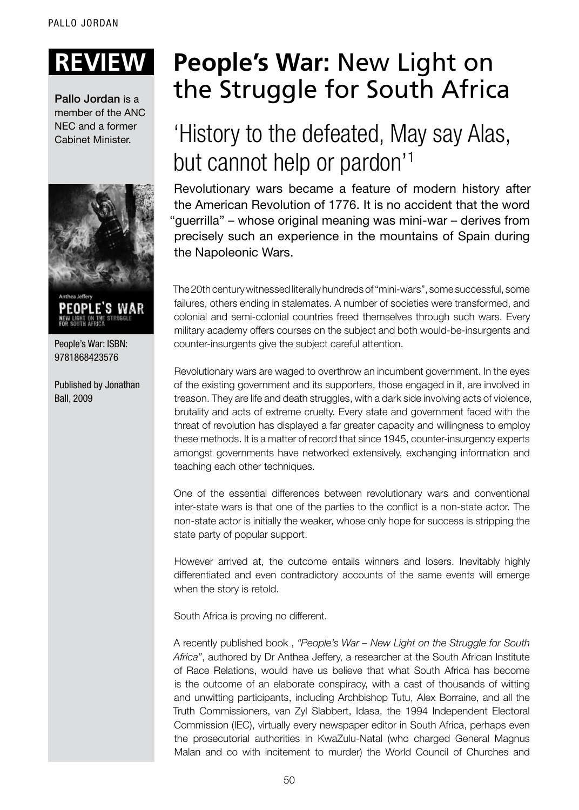Pallo Jordan is a member of the ANC NEC and a former Cabinet Minister.



People's War: ISBN: 9781868423576

Published by Jonathan Ball, 2009

## **Review: People's War:** New Light on the Struggle for South Africa

## 'History to the defeated, May say Alas, but cannot help or pardon'1

Revolutionary wars became a feature of modern history after the American Revolution of 1776. It is no accident that the word "guerrilla" – whose original meaning was mini-war – derives from precisely such an experience in the mountains of Spain during the Napoleonic Wars.

The 20th century witnessed literally hundreds of "mini-wars", some successful, some failures, others ending in stalemates. A number of societies were transformed, and colonial and semi-colonial countries freed themselves through such wars. Every military academy offers courses on the subject and both would-be-insurgents and counter-insurgents give the subject careful attention.

Revolutionary wars are waged to overthrow an incumbent government. In the eyes of the existing government and its supporters, those engaged in it, are involved in treason. They are life and death struggles, with a dark side involving acts of violence, brutality and acts of extreme cruelty. Every state and government faced with the threat of revolution has displayed a far greater capacity and willingness to employ these methods. It is a matter of record that since 1945, counter-insurgency experts amongst governments have networked extensively, exchanging information and teaching each other techniques.

One of the essential differences between revolutionary wars and conventional inter-state wars is that one of the parties to the conflict is a non-state actor. The non-state actor is initially the weaker, whose only hope for success is stripping the state party of popular support.

However arrived at, the outcome entails winners and losers. Inevitably highly differentiated and even contradictory accounts of the same events will emerge when the story is retold.

South Africa is proving no different.

A recently published book , *"People's War – New Light on the Struggle for South Africa"*, authored by Dr Anthea Jeffery, a researcher at the South African Institute of Race Relations, would have us believe that what South Africa has become is the outcome of an elaborate conspiracy, with a cast of thousands of witting and unwitting participants, including Archbishop Tutu, Alex Borraine, and all the Truth Commissioners, van Zyl Slabbert, Idasa, the 1994 Independent Electoral Commission (IEC), virtually every newspaper editor in South Africa, perhaps even the prosecutorial authorities in KwaZulu-Natal (who charged General Magnus Malan and co with incitement to murder) the World Council of Churches and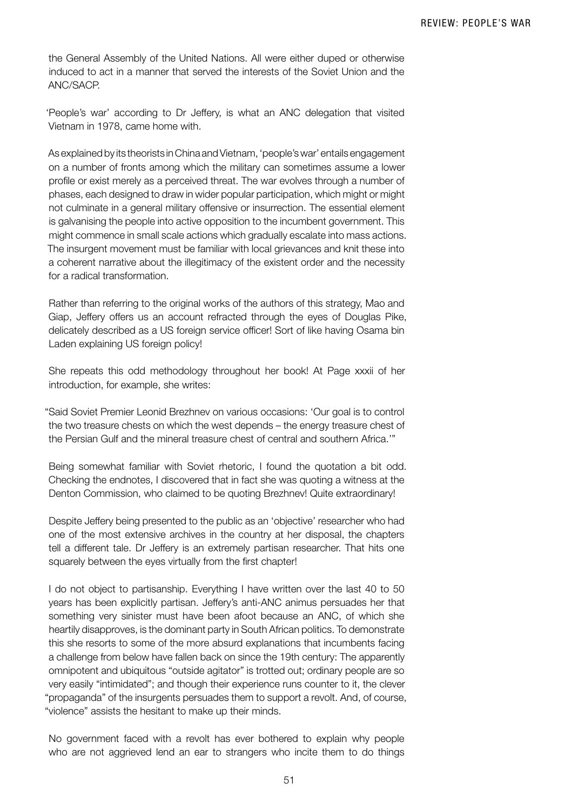the General Assembly of the United Nations. All were either duped or otherwise induced to act in a manner that served the interests of the Soviet Union and the ANC/SACP.

'People's war' according to Dr Jeffery, is what an ANC delegation that visited Vietnam in 1978, came home with.

As explained by its theorists in China and Vietnam, 'people's war' entails engagement on a number of fronts among which the military can sometimes assume a lower profile or exist merely as a perceived threat. The war evolves through a number of phases, each designed to draw in wider popular participation, which might or might not culminate in a general military offensive or insurrection. The essential element is galvanising the people into active opposition to the incumbent government. This might commence in small scale actions which gradually escalate into mass actions. The insurgent movement must be familiar with local grievances and knit these into a coherent narrative about the illegitimacy of the existent order and the necessity for a radical transformation.

Rather than referring to the original works of the authors of this strategy, Mao and Giap, Jeffery offers us an account refracted through the eyes of Douglas Pike, delicately described as a US foreign service officer! Sort of like having Osama bin Laden explaining US foreign policy!

She repeats this odd methodology throughout her book! At Page xxxii of her introduction, for example, she writes:

"Said Soviet Premier Leonid Brezhnev on various occasions: 'Our goal is to control the two treasure chests on which the west depends – the energy treasure chest of the Persian Gulf and the mineral treasure chest of central and southern Africa.'"

Being somewhat familiar with Soviet rhetoric, I found the quotation a bit odd. Checking the endnotes, I discovered that in fact she was quoting a witness at the Denton Commission, who claimed to be quoting Brezhnev! Quite extraordinary!

Despite Jeffery being presented to the public as an 'objective' researcher who had one of the most extensive archives in the country at her disposal, the chapters tell a different tale. Dr Jeffery is an extremely partisan researcher. That hits one squarely between the eyes virtually from the first chapter!

I do not object to partisanship. Everything I have written over the last 40 to 50 years has been explicitly partisan. Jeffery's anti-ANC animus persuades her that something very sinister must have been afoot because an ANC, of which she heartily disapproves, is the dominant party in South African politics. To demonstrate this she resorts to some of the more absurd explanations that incumbents facing a challenge from below have fallen back on since the 19th century: The apparently omnipotent and ubiquitous "outside agitator" is trotted out; ordinary people are so very easily "intimidated"; and though their experience runs counter to it, the clever "propaganda" of the insurgents persuades them to support a revolt. And, of course, "violence" assists the hesitant to make up their minds.

No government faced with a revolt has ever bothered to explain why people who are not aggrieved lend an ear to strangers who incite them to do things